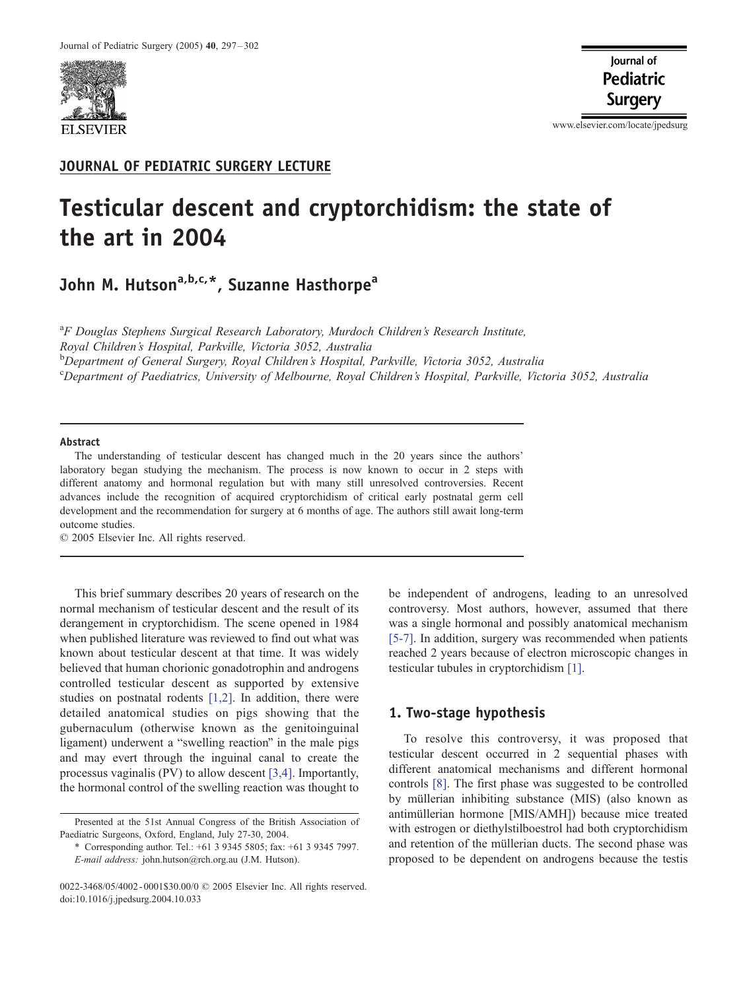

www.elsevier.com/locate/jpedsurg

# JOURNAL OF PEDIATRIC SURGERY LECTURE

# Testicular descent and cryptorchidism: the state of the art in 2004

John M. Hutson<sup>a,b,c,</sup>\*, Suzanne Hasthorpe<sup>a</sup>

<sup>a</sup>F Douglas Stephens Surgical Research Laboratory, Murdoch Children's Research Institute, Royal Children's Hospital, Parkville, Victoria 3052, Australia <sup>b</sup> Department of General Surgery, Royal Children's Hospital, Parkville, Victoria 3052, Australia c Department of Paediatrics, University of Melbourne, Royal Children's Hospital, Parkville, Victoria 3052, Australia

#### Abstract

The understanding of testicular descent has changed much in the 20 years since the authors' laboratory began studying the mechanism. The process is now known to occur in 2 steps with different anatomy and hormonal regulation but with many still unresolved controversies. Recent advances include the recognition of acquired cryptorchidism of critical early postnatal germ cell development and the recommendation for surgery at 6 months of age. The authors still await long-term outcome studies.

 $© 2005 Elsevier Inc. All rights reserved.$ 

This brief summary describes 20 years of research on the normal mechanism of testicular descent and the result of its derangement in cryptorchidism. The scene opened in 1984 when published literature was reviewed to find out what was known about testicular descent at that time. It was widely believed that human chorionic gonadotrophin and androgens controlled testicular descent as supported by extensive studies on postnatal rodents [\[1,2\].](#page-4-0) In addition, there were detailed anatomical studies on pigs showing that the gubernaculum (otherwise known as the genitoinguinal ligament) underwent a "swelling reaction" in the male pigs and may evert through the inguinal canal to create the processus vaginalis (PV) to allow descent [\[3,4\].](#page-4-0) Importantly, the hormonal control of the swelling reaction was thought to

be independent of androgens, leading to an unresolved controversy. Most authors, however, assumed that there was a single hormonal and possibly anatomical mechanism [\[5-7\].](#page-4-0) In addition, surgery was recommended when patients reached 2 years because of electron microscopic changes in testicular tubules in cryptorchidism [\[1\].](#page-4-0)

# 1. Two-stage hypothesis

To resolve this controversy, it was proposed that testicular descent occurred in 2 sequential phases with different anatomical mechanisms and different hormonal controls [\[8\].](#page-4-0) The first phase was suggested to be controlled by müllerian inhibiting substance (MIS) (also known as antimüllerian hormone [MIS/AMH]) because mice treated with estrogen or diethylstilboestrol had both cryptorchidism and retention of the müllerian ducts. The second phase was proposed to be dependent on androgens because the testis

Presented at the 51st Annual Congress of the British Association of Paediatric Surgeons, Oxford, England, July 27-30, 2004.

<sup>\*</sup> Corresponding author. Tel.: +61 3 9345 5805; fax: +61 3 9345 7997. E-mail address: john.hutson@rch.org.au (J.M. Hutson).

<sup>0022-3468/05/4002-0001\$30.00/0 © 2005</sup> Elsevier Inc. All rights reserved. doi:10.1016/j.jpedsurg.2004.10.033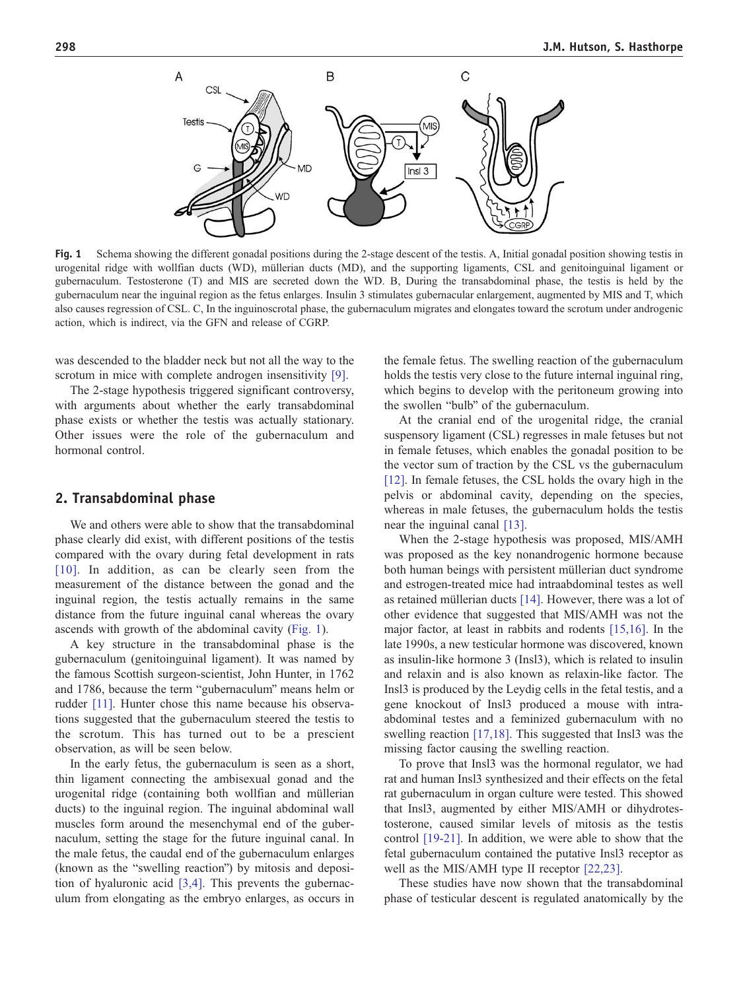

Schema showing the different gonadal positions during the 2-stage descent of the testis. A, Initial gonadal position showing testis in urogenital ridge with wollfian ducts (WD), müllerian ducts (MD), and the supporting ligaments, CSL and genitoinguinal ligament or gubernaculum. Testosterone (T) and MIS are secreted down the WD. B, During the transabdominal phase, the testis is held by the gubernaculum near the inguinal region as the fetus enlarges. Insulin 3 stimulates gubernacular enlargement, augmented by MIS and T, which also causes regression of CSL. C, In the inguinoscrotal phase, the gubernaculum migrates and elongates toward the scrotum under androgenic action, which is indirect, via the GFN and release of CGRP.

was descended to the bladder neck but not all the way to the scrotum in mice with complete androgen insensitivity [\[9\].](#page-4-0)

The 2-stage hypothesis triggered significant controversy, with arguments about whether the early transabdominal phase exists or whether the testis was actually stationary. Other issues were the role of the gubernaculum and hormonal control.

## 2. Transabdominal phase

We and others were able to show that the transabdominal phase clearly did exist, with different positions of the testis compared with the ovary during fetal development in rats [\[10\].](#page-4-0) In addition, as can be clearly seen from the measurement of the distance between the gonad and the inguinal region, the testis actually remains in the same distance from the future inguinal canal whereas the ovary ascends with growth of the abdominal cavity (Fig. 1).

A key structure in the transabdominal phase is the gubernaculum (genitoinguinal ligament). It was named by the famous Scottish surgeon-scientist, John Hunter, in 1762 and 1786, because the term "gubernaculum" means helm or rudder [\[11\].](#page-4-0) Hunter chose this name because his observations suggested that the gubernaculum steered the testis to the scrotum. This has turned out to be a prescient observation, as will be seen below.

In the early fetus, the gubernaculum is seen as a short, thin ligament connecting the ambisexual gonad and the urogenital ridge (containing both wollfian and müllerian ducts) to the inguinal region. The inguinal abdominal wall muscles form around the mesenchymal end of the gubernaculum, setting the stage for the future inguinal canal. In the male fetus, the caudal end of the gubernaculum enlarges (known as the "swelling reaction") by mitosis and deposition of hyaluronic acid [\[3,4\].](#page-4-0) This prevents the gubernaculum from elongating as the embryo enlarges, as occurs in

the female fetus. The swelling reaction of the gubernaculum holds the testis very close to the future internal inguinal ring, which begins to develop with the peritoneum growing into the swollen "bulb" of the gubernaculum.

At the cranial end of the urogenital ridge, the cranial suspensory ligament (CSL) regresses in male fetuses but not in female fetuses, which enables the gonadal position to be the vector sum of traction by the CSL vs the gubernaculum [\[12\].](#page-4-0) In female fetuses, the CSL holds the ovary high in the pelvis or abdominal cavity, depending on the species, whereas in male fetuses, the gubernaculum holds the testis near the inguinal canal [\[13\].](#page-4-0)

When the 2-stage hypothesis was proposed, MIS/AMH was proposed as the key nonandrogenic hormone because both human beings with persistent müllerian duct syndrome and estrogen-treated mice had intraabdominal testes as well as retained müllerian ducts  $[14]$ . However, there was a lot of other evidence that suggested that MIS/AMH was not the major factor, at least in rabbits and rodents [\[15,16\].](#page-4-0) In the late 1990s, a new testicular hormone was discovered, known as insulin-like hormone 3 (Insl3), which is related to insulin and relaxin and is also known as relaxin-like factor. The Insl3 is produced by the Leydig cells in the fetal testis, and a gene knockout of Insl3 produced a mouse with intraabdominal testes and a feminized gubernaculum with no swelling reaction [\[17,18\].](#page-4-0) This suggested that Insl3 was the missing factor causing the swelling reaction.

To prove that Insl3 was the hormonal regulator, we had rat and human Insl3 synthesized and their effects on the fetal rat gubernaculum in organ culture were tested. This showed that Insl3, augmented by either MIS/AMH or dihydrotestosterone, caused similar levels of mitosis as the testis control [\[19-21\].](#page-4-0) In addition, we were able to show that the fetal gubernaculum contained the putative Insl3 receptor as well as the MIS/AMH type II receptor [\[22,23\].](#page-4-0)

These studies have now shown that the transabdominal phase of testicular descent is regulated anatomically by the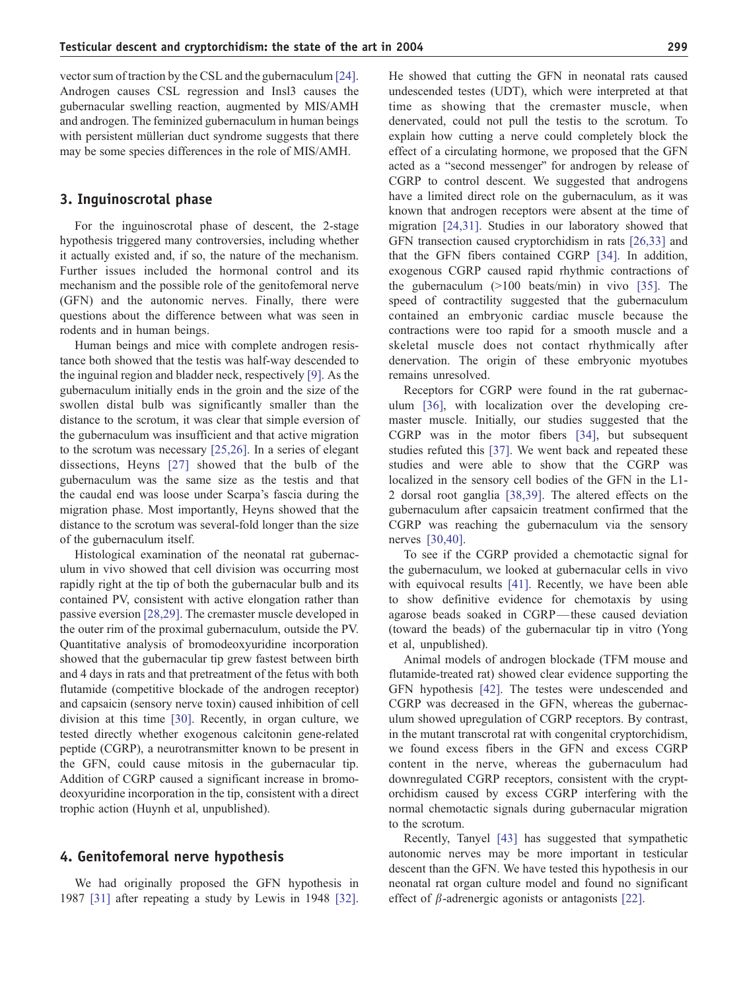vector sum of traction by the CSL and the gubernaculum [\[24\].](#page-4-0) Androgen causes CSL regression and Insl3 causes the gubernacular swelling reaction, augmented by MIS/AMH and androgen. The feminized gubernaculum in human beings with persistent müllerian duct syndrome suggests that there may be some species differences in the role of MIS/AMH.

# 3. Inguinoscrotal phase

For the inguinoscrotal phase of descent, the 2-stage hypothesis triggered many controversies, including whether it actually existed and, if so, the nature of the mechanism. Further issues included the hormonal control and its mechanism and the possible role of the genitofemoral nerve (GFN) and the autonomic nerves. Finally, there were questions about the difference between what was seen in rodents and in human beings.

Human beings and mice with complete androgen resistance both showed that the testis was half-way descended to the inguinal region and bladder neck, respectively [\[9\].](#page-4-0) As the gubernaculum initially ends in the groin and the size of the swollen distal bulb was significantly smaller than the distance to the scrotum, it was clear that simple eversion of the gubernaculum was insufficient and that active migration to the scrotum was necessary [\[25,26\].](#page-4-0) In a series of elegant dissections, Heyns [\[27\]](#page-4-0) showed that the bulb of the gubernaculum was the same size as the testis and that the caudal end was loose under Scarpa's fascia during the migration phase. Most importantly, Heyns showed that the distance to the scrotum was several-fold longer than the size of the gubernaculum itself.

Histological examination of the neonatal rat gubernaculum in vivo showed that cell division was occurring most rapidly right at the tip of both the gubernacular bulb and its contained PV, consistent with active elongation rather than passive eversion [\[28,29\].](#page-4-0) The cremaster muscle developed in the outer rim of the proximal gubernaculum, outside the PV. Quantitative analysis of bromodeoxyuridine incorporation showed that the gubernacular tip grew fastest between birth and 4 days in rats and that pretreatment of the fetus with both flutamide (competitive blockade of the androgen receptor) and capsaicin (sensory nerve toxin) caused inhibition of cell division at this time [\[30\].](#page-5-0) Recently, in organ culture, we tested directly whether exogenous calcitonin gene-related peptide (CGRP), a neurotransmitter known to be present in the GFN, could cause mitosis in the gubernacular tip. Addition of CGRP caused a significant increase in bromodeoxyuridine incorporation in the tip, consistent with a direct trophic action (Huynh et al, unpublished).

# 4. Genitofemoral nerve hypothesis

We had originally proposed the GFN hypothesis in 1987 [\[31\]](#page-5-0) after repeating a study by Lewis in 1948 [\[32\].](#page-5-0) He showed that cutting the GFN in neonatal rats caused undescended testes (UDT), which were interpreted at that time as showing that the cremaster muscle, when denervated, could not pull the testis to the scrotum. To explain how cutting a nerve could completely block the effect of a circulating hormone, we proposed that the GFN acted as a "second messenger" for androgen by release of CGRP to control descent. We suggested that androgens have a limited direct role on the gubernaculum, as it was known that androgen receptors were absent at the time of migration [\[24,31\].](#page-4-0) Studies in our laboratory showed that GFN transection caused cryptorchidism in rats [\[26,33\]](#page-4-0) and that the GFN fibers contained CGRP [\[34\].](#page-5-0) In addition, exogenous CGRP caused rapid rhythmic contractions of the gubernaculum  $(>100 \text{ beats/min})$  in vivo [\[35\].](#page-5-0) The speed of contractility suggested that the gubernaculum contained an embryonic cardiac muscle because the contractions were too rapid for a smooth muscle and a skeletal muscle does not contact rhythmically after denervation. The origin of these embryonic myotubes remains unresolved.

Receptors for CGRP were found in the rat gubernaculum [\[36\],](#page-5-0) with localization over the developing cremaster muscle. Initially, our studies suggested that the CGRP was in the motor fibers [\[34\],](#page-5-0) but subsequent studies refuted this [\[37\].](#page-5-0) We went back and repeated these studies and were able to show that the CGRP was localized in the sensory cell bodies of the GFN in the L1- 2 dorsal root ganglia [\[38,39\].](#page-5-0) The altered effects on the gubernaculum after capsaicin treatment confirmed that the CGRP was reaching the gubernaculum via the sensory nerves [\[30,40\].](#page-5-0)

To see if the CGRP provided a chemotactic signal for the gubernaculum, we looked at gubernacular cells in vivo with equivocal results [\[41\].](#page-5-0) Recently, we have been able to show definitive evidence for chemotaxis by using agarose beads soaked in CGRP—these caused deviation (toward the beads) of the gubernacular tip in vitro (Yong et al, unpublished).

Animal models of androgen blockade (TFM mouse and flutamide-treated rat) showed clear evidence supporting the GFN hypothesis [\[42\].](#page-5-0) The testes were undescended and CGRP was decreased in the GFN, whereas the gubernaculum showed upregulation of CGRP receptors. By contrast, in the mutant transcrotal rat with congenital cryptorchidism, we found excess fibers in the GFN and excess CGRP content in the nerve, whereas the gubernaculum had downregulated CGRP receptors, consistent with the cryptorchidism caused by excess CGRP interfering with the normal chemotactic signals during gubernacular migration to the scrotum.

Recently, Tanyel [\[43\]](#page-5-0) has suggested that sympathetic autonomic nerves may be more important in testicular descent than the GFN. We have tested this hypothesis in our neonatal rat organ culture model and found no significant effect of  $\beta$ -adrenergic agonists or antagonists [\[22\].](#page-4-0)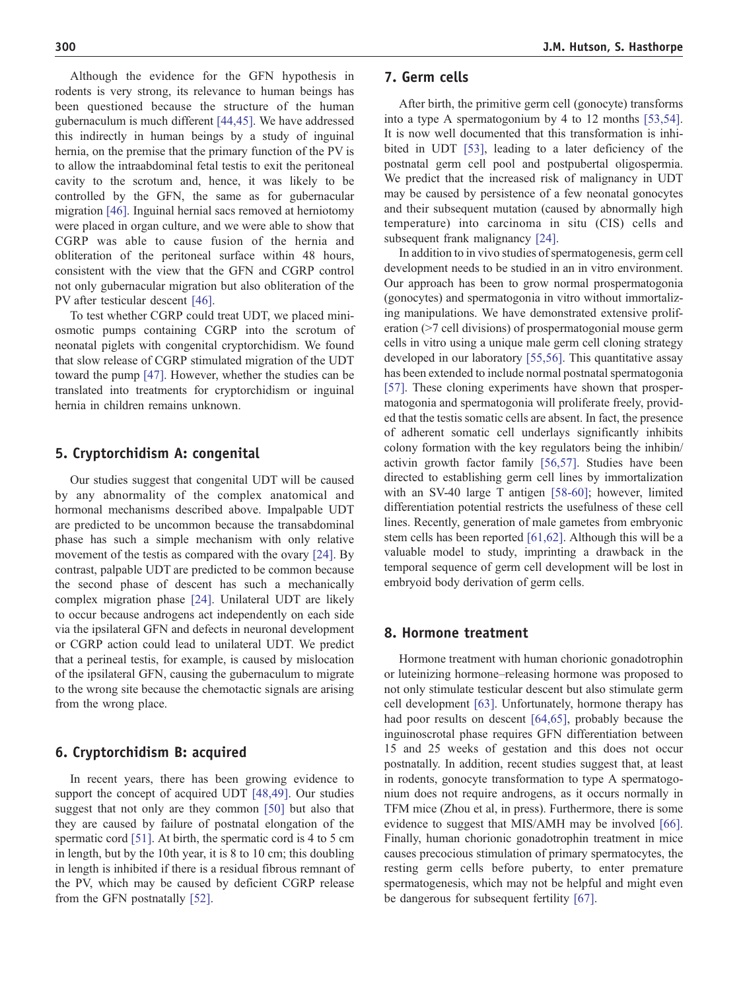Although the evidence for the GFN hypothesis in rodents is very strong, its relevance to human beings has been questioned because the structure of the human gubernaculum is much different [\[44,45\].](#page-5-0) We have addressed this indirectly in human beings by a study of inguinal hernia, on the premise that the primary function of the PV is to allow the intraabdominal fetal testis to exit the peritoneal cavity to the scrotum and, hence, it was likely to be controlled by the GFN, the same as for gubernacular migration [\[46\].](#page-5-0) Inguinal hernial sacs removed at herniotomy were placed in organ culture, and we were able to show that CGRP was able to cause fusion of the hernia and obliteration of the peritoneal surface within 48 hours, consistent with the view that the GFN and CGRP control not only gubernacular migration but also obliteration of the PV after testicular descent [\[46\].](#page-5-0)

To test whether CGRP could treat UDT, we placed miniosmotic pumps containing CGRP into the scrotum of neonatal piglets with congenital cryptorchidism. We found that slow release of CGRP stimulated migration of the UDT toward the pump [\[47\].](#page-5-0) However, whether the studies can be translated into treatments for cryptorchidism or inguinal hernia in children remains unknown.

# 5. Cryptorchidism A: congenital

Our studies suggest that congenital UDT will be caused by any abnormality of the complex anatomical and hormonal mechanisms described above. Impalpable UDT are predicted to be uncommon because the transabdominal phase has such a simple mechanism with only relative movement of the testis as compared with the ovary [\[24\].](#page-4-0) By contrast, palpable UDT are predicted to be common because the second phase of descent has such a mechanically complex migration phase [\[24\].](#page-4-0) Unilateral UDT are likely to occur because androgens act independently on each side via the ipsilateral GFN and defects in neuronal development or CGRP action could lead to unilateral UDT. We predict that a perineal testis, for example, is caused by mislocation of the ipsilateral GFN, causing the gubernaculum to migrate to the wrong site because the chemotactic signals are arising from the wrong place.

## 6. Cryptorchidism B: acquired

In recent years, there has been growing evidence to support the concept of acquired UDT [\[48,49\].](#page-5-0) Our studies suggest that not only are they common [\[50\]](#page-5-0) but also that they are caused by failure of postnatal elongation of the spermatic cord [\[51\].](#page-5-0) At birth, the spermatic cord is 4 to 5 cm in length, but by the 10th year, it is 8 to 10 cm; this doubling in length is inhibited if there is a residual fibrous remnant of the PV, which may be caused by deficient CGRP release from the GFN postnatally [\[52\].](#page-5-0)

#### 7. Germ cells

After birth, the primitive germ cell (gonocyte) transforms into a type A spermatogonium by 4 to 12 months [\[53,54\].](#page-5-0) It is now well documented that this transformation is inhi-bited in UDT [\[53\],](#page-5-0) leading to a later deficiency of the postnatal germ cell pool and postpubertal oligospermia. We predict that the increased risk of malignancy in UDT may be caused by persistence of a few neonatal gonocytes and their subsequent mutation (caused by abnormally high temperature) into carcinoma in situ (CIS) cells and subsequent frank malignancy [\[24\].](#page-4-0)

In addition to in vivo studies of spermatogenesis, germ cell development needs to be studied in an in vitro environment. Our approach has been to grow normal prospermatogonia (gonocytes) and spermatogonia in vitro without immortalizing manipulations. We have demonstrated extensive proliferation  $(>=7$  cell divisions) of prospermatogonial mouse germ cells in vitro using a unique male germ cell cloning strategy developed in our laboratory [\[55,56\].](#page-5-0) This quantitative assay has been extended to include normal postnatal spermatogonia [\[57\].](#page-5-0) These cloning experiments have shown that prospermatogonia and spermatogonia will proliferate freely, provided that the testis somatic cells are absent. In fact, the presence of adherent somatic cell underlays significantly inhibits colony formation with the key regulators being the inhibin/ activin growth factor family [\[56,57\].](#page-5-0) Studies have been directed to establishing germ cell lines by immortalization with an SV-40 large T antigen [\[58-60\];](#page-5-0) however, limited differentiation potential restricts the usefulness of these cell lines. Recently, generation of male gametes from embryonic stem cells has been reported [\[61,62\].](#page-5-0) Although this will be a valuable model to study, imprinting a drawback in the temporal sequence of germ cell development will be lost in embryoid body derivation of germ cells.

#### 8. Hormone treatment

Hormone treatment with human chorionic gonadotrophin or luteinizing hormone–releasing hormone was proposed to not only stimulate testicular descent but also stimulate germ cell development [\[63\].](#page-5-0) Unfortunately, hormone therapy has had poor results on descent [\[64,65\],](#page-5-0) probably because the inguinoscrotal phase requires GFN differentiation between 15 and 25 weeks of gestation and this does not occur postnatally. In addition, recent studies suggest that, at least in rodents, gonocyte transformation to type A spermatogonium does not require androgens, as it occurs normally in TFM mice (Zhou et al, in press). Furthermore, there is some evidence to suggest that MIS/AMH may be involved [\[66\].](#page-5-0) Finally, human chorionic gonadotrophin treatment in mice causes precocious stimulation of primary spermatocytes, the resting germ cells before puberty, to enter premature spermatogenesis, which may not be helpful and might even be dangerous for subsequent fertility [\[67\].](#page-5-0)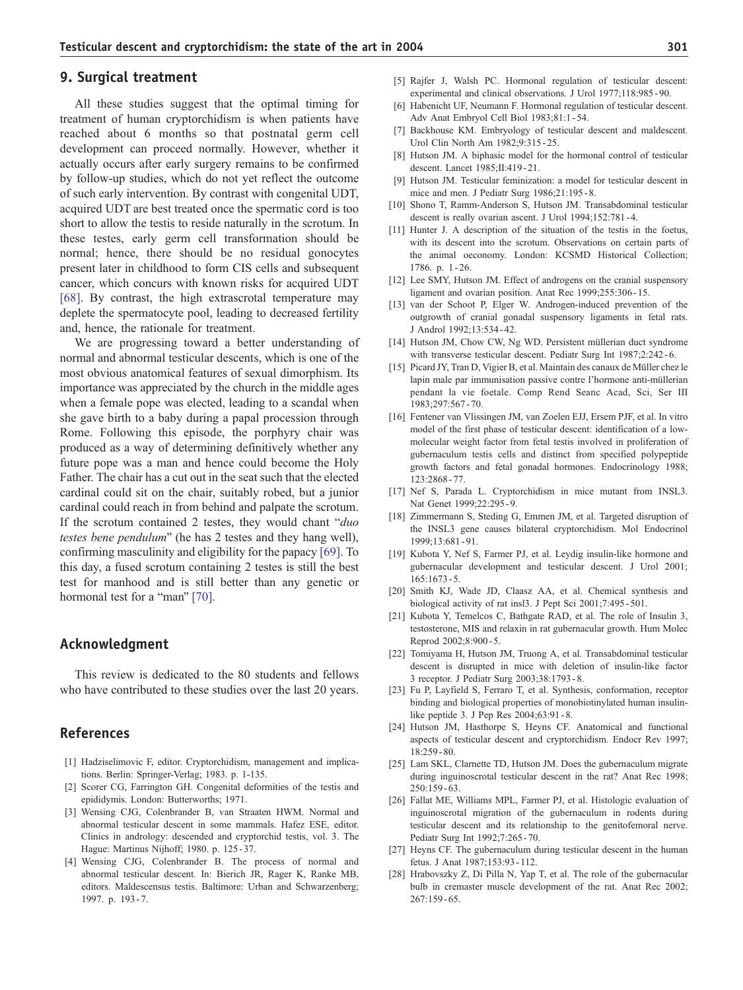## <span id="page-4-0"></span>9. Surgical treatment

All these studies suggest that the optimal timing for treatment of human cryptorchidism is when patients have reached about 6 months so that postnatal germ cell development can proceed normally. However, whether it actually occurs after early surgery remains to be confirmed by follow-up studies, which do not yet reflect the outcome of such early intervention. By contrast with congenital UDT, acquired UDT are best treated once the spermatic cord is too short to allow the testis to reside naturally in the scrotum. In these testes, early germ cell transformation should be normal; hence, there should be no residual gonocytes present later in childhood to form CIS cells and subsequent cancer, which concurs with known risks for acquired UDT [\[68\]](#page-5-0). By contrast, the high extrascrotal temperature may deplete the spermatocyte pool, leading to decreased fertility and, hence, the rationale for treatment.

We are progressing toward a better understanding of normal and abnormal testicular descents, which is one of the most obvious anatomical features of sexual dimorphism. Its importance was appreciated by the church in the middle ages when a female pope was elected, leading to a scandal when she gave birth to a baby during a papal procession through Rome. Following this episode, the porphyry chair was produced as a way of determining definitively whether any future pope was a man and hence could become the Holy Father. The chair has a cut out in the seat such that the elected cardinal could sit on the chair, suitably robed, but a junior cardinal could reach in from behind and palpate the scrotum. If the scrotum contained 2 testes, they would chant " $du$ o testes bene pendulum" (he has 2 testes and they hang well), confirming masculinity and eligibility for the papacy [\[69\].](#page-5-0) To this day, a fused scrotum containing 2 testes is still the best test for manhood and is still better than any genetic or hormonal test for a "man"  $[70]$ .

## Acknowledgment

This review is dedicated to the 80 students and fellows who have contributed to these studies over the last 20 years.

## References

- [1] Hadziselimovic F, editor. Cryptorchidism, management and implications. Berlin: Springer-Verlag; 1983. p. 1-135.
- [2] Scorer CG, Farrington GH. Congenital deformities of the testis and epididymis. London: Butterworths; 1971.
- [3] Wensing CJG, Colenbrander B, van Straaten HWM. Normal and abnormal testicular descent in some mammals. Hafez ESE, editor. Clinics in andrology: descended and cryptorchid testis, vol. 3. The Hague: Martinus Nijhoff; 1980. p. 125 - 37.
- [4] Wensing CJG, Colenbrander B. The process of normal and abnormal testicular descent. In: Bierich JR, Rager K, Ranke MB, editors. Maldescensus testis. Baltimore: Urban and Schwarzenberg; 1997. p. 193 - 7.
- [5] Rajfer J, Walsh PC. Hormonal regulation of testicular descent: experimental and clinical observations. J Urol 1977;118:985 - 90.
- [6] Habenicht UF, Neumann F. Hormonal regulation of testicular descent. Adv Anat Embryol Cell Biol 1983;81:1 - 54.
- [7] Backhouse KM. Embryology of testicular descent and maldescent. Urol Clin North Am 1982;9:315 - 25.
- [8] Hutson JM. A biphasic model for the hormonal control of testicular descent. Lancet 1985;II:419 - 21.
- [9] Hutson JM. Testicular feminization: a model for testicular descent in mice and men. J Pediatr Surg 1986;21:195 - 8.
- [10] Shono T, Ramm-Anderson S, Hutson JM. Transabdominal testicular descent is really ovarian ascent. J Urol 1994;152:781-4.
- [11] Hunter J. A description of the situation of the testis in the foetus, with its descent into the scrotum. Observations on certain parts of the animal oeconomy. London: KCSMD Historical Collection; 1786. p. 1 - 26.
- [12] Lee SMY, Hutson JM. Effect of androgens on the cranial suspensory ligament and ovarian position. Anat Rec 1999;255:306 - 15.
- [13] van der Schoot P, Elger W. Androgen-induced prevention of the outgrowth of cranial gonadal suspensory ligaments in fetal rats. J Androl 1992;13:534 - 42.
- [14] Hutson JM, Chow CW, Ng WD. Persistent müllerian duct syndrome with transverse testicular descent. Pediatr Surg Int 1987;2:242 - 6.
- [15] Picard JY, Tran D, Vigier B, et al. Maintain des canaux de Müller chez le lapin male par immunisation passive contre l'hormone anti-müllerian pendant la vie foetale. Comp Rend Seanc Acad, Sci, Ser III 1983;297:567 - 70.
- [16] Fentener van Vlissingen JM, van Zoelen EJJ, Ersem PJF, et al. In vitro model of the first phase of testicular descent: identification of a lowmolecular weight factor from fetal testis involved in proliferation of gubernaculum testis cells and distinct from specified polypeptide growth factors and fetal gonadal hormones. Endocrinology 1988; 123:2868 - 77.
- [17] Nef S, Parada L. Cryptorchidism in mice mutant from INSL3. Nat Genet 1999;22:295 - 9.
- [18] Zimmermann S, Steding G, Emmen JM, et al. Targeted disruption of the INSL3 gene causes bilateral cryptorchidism. Mol Endocrinol 1999;13:681 - 91.
- [19] Kubota Y, Nef S, Farmer PJ, et al. Leydig insulin-like hormone and gubernacular development and testicular descent. J Urol 2001; 165:1673 - 5.
- [20] Smith KJ, Wade JD, Claasz AA, et al. Chemical synthesis and biological activity of rat insl3. J Pept Sci 2001;7:495 - 501.
- [21] Kubota Y, Temelcos C, Bathgate RAD, et al. The role of Insulin 3, testosterone, MIS and relaxin in rat gubernacular growth. Hum Molec Reprod 2002;8:900 - 5.
- [22] Tomiyama H, Hutson JM, Truong A, et al. Transabdominal testicular descent is disrupted in mice with deletion of insulin-like factor 3 receptor. J Pediatr Surg 2003;38:1793 - 8.
- [23] Fu P, Layfield S, Ferraro T, et al. Synthesis, conformation, receptor binding and biological properties of monobiotinylated human insulinlike peptide 3. J Pep Res 2004;63:91 - 8.
- [24] Hutson JM, Hasthorpe S, Heyns CF. Anatomical and functional aspects of testicular descent and cryptorchidism. Endocr Rev 1997; 18:259 - 80.
- [25] Lam SKL, Clarnette TD, Hutson JM. Does the gubernaculum migrate during inguinoscrotal testicular descent in the rat? Anat Rec 1998;  $250:159-63$
- [26] Fallat ME, Williams MPL, Farmer PJ, et al. Histologic evaluation of inguinoscrotal migration of the gubernaculum in rodents during testicular descent and its relationship to the genitofemoral nerve. Pediatr Surg Int 1992;7:265 - 70.
- [27] Heyns CF. The gubernaculum during testicular descent in the human fetus. J Anat 1987;153:93 - 112.
- [28] Hrabovszky Z, Di Pilla N, Yap T, et al. The role of the gubernacular bulb in cremaster muscle development of the rat. Anat Rec 2002; 267:159 - 65.